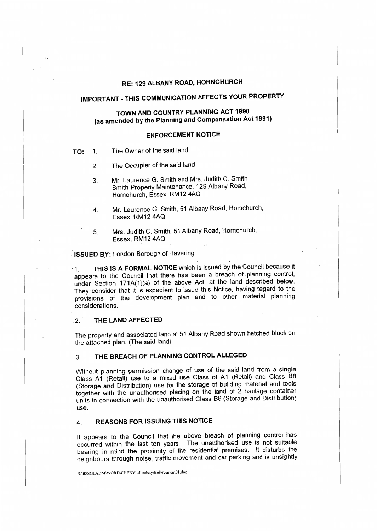## **RE: 129 ALBANY ROAD, HORNCHURCH**

# **IMPORTANT** - **THIS COMMUNICATION AFFECTS YOUR PROPERTY**

## **TOWN AND COUNTRY PLANNING ACT 1990 (as amended by** the **Planning and Compensation Act 1991)**

## **ENFORCEMENT NOTICE**

- **TO:** 1. The Owner of the said land
	- 2. The Occupier of the said land
	- 3. Mr. Laurence G. Smith and Mrs. Judith C. Smith Smith Property Maintenance, 129 Albany Road, Hornchurch, Essex, RM12 4AQ
	- 4. Mr. Laurence G. Smith, 51 Albany Road, Hornchurch, Essex, RM12 4AQ
	- 5. Mrs. Judith C. Smith, 51 Albany Road, Hornchurch, Essex, RM 12 4AQ

## **ISSUED BY: London Borough of Havering**

··1. **THIS IS A FORMAL NOTICE** which is issued by the Council because it appears to the Council that there has been a breach of planning control, under Section 171A(1)(a} of the above Act, at the land described below. They consider that it is expedient to issue this Notice, having regard to the provisions of the development plan and to other material planning considerations.

### 2. THE LAND AFFECTED

The property and associated land at 51 Albany Road shown hatched black on the attached plan. (The said land).

## 3. **THE BREACH OF PLANNING CONTROL ALLEGED**

Without planning permission change of use of the said land from a single Class A1 (Retail) use to a mixed use Class of A1 (Retail) and Class B8 (Storage and Distribution) use for the storage of building material and tools together with the unauthorised placing on the land of 2 haulage container units in connection with the unauthorised Class B8 (Storage and Distribution) use.

## 4. **REASONS FOR ISSUING THIS NOTICE**

It appears to the Council that the above breach of planning control has occurred within the last ten years. The unauthorised use is not suitable bearing in mind the proximity of the residential premises. It disturbs the neighbours through noise, traffic movement and car parking and is unsightly

S:\BSSGLADM\WORD\CHERYL\Lindsay\Enforcement01.doc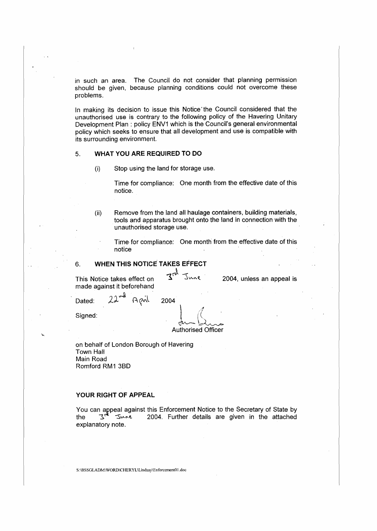in such an area. The Council do not consider that planning permission should be given, because planning conditions could not overcome these problems.

In making its decision to issue this Notice the Council considered that the unauthorised use is contrary to the following policy of the Havering Unitary Development Plan: policy ENV1 which is the Council's general environmental policy which seeks to ensure that all development and use is compatible with its surrounding environment.

### 5. **WHAT YOU ARE REQUIRED TO DO**

(i) Stop using the land for storage use.

Time for compliance: One month from the effective date of this notice.

(ii) Remove from the land all haulage containers, building materials, tools and apparatus brought onto the land in connection with the unauthorised storage use.

Time-for compliance: One month from the effective date of this notice

#### 6. **WHEN THIS NOTICE TAKES EFFECT**

This Notice takes effect on  $\frac{1}{2}$   $\frac{1}{2}$   $\frac{1}{2}$   $\frac{1}{2}$  2004, unless an appeal is made against it beforehand

 $7<sup>rd</sup>$ 

Dated:  $22^{-d}$  April 2004<br>Signed:  $\int_{\text{dyn}}$ Signed:  $\begin{pmatrix} 1 & 1 \\ 1 & 1 \end{pmatrix}$  $\alpha$  and  $\alpha$ '·· Authorised Officer

on behalf of London Borough of Havering Town Hall Main Road Romford RM1 3B0

### **YOUR RIGHT OF APPEAL**

You can appeal against this Enforcement Notice to the Secretary of State by the  $3^{\frac{1}{11}}$   $3^{\frac{1}{11}}$   $3^{\frac{1}{11}}$   $3^{\frac{1}{11}}$   $2004$ . Further details are given in the attached explanatory note.

S:\BSSGLADM\W'ORD\CHERYL\Llndsay\Enforcement0l.doc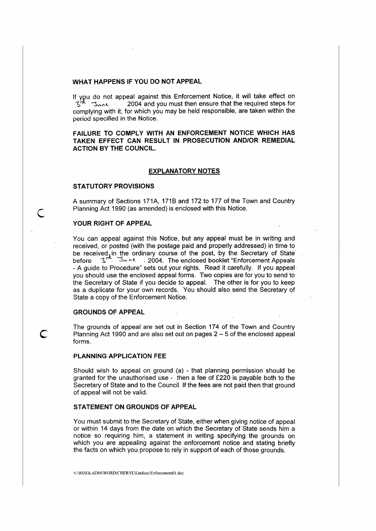#### **WHAT HAPPENS IF YOU DO NOT APPEAL**

If you do not appeal against this Enforcement Notice, it will take effect on  $3<sup>rd</sup>$  J<sub>wne</sub> 2004 and you must then ensure that the required steps for complying with it, for which you may be held responsible, are taken within the period specified in the Notice.

**FAILURE TO COMPLY WITH AN ENFORCEMENT NOTICE WHICH HAS TAKEN EFFECT CAN RESULT IN PROSECUTION AND/OR REMEDIAL ACTION BY THE COUNCIL.** 

#### **EXPLANATORY NOTES**

#### **STATUTORY PROVISIONS**

A summary of Sections 171A, 171B and 172 to 177 of the Town and Country Planning Act 1990 (as amended) is enclosed with this Notice.

#### **YOUR RIGHT OF APPEAL**

You can appeal against this Notice, but any appeal must be in writing and received, or posted (with the postage paid and properly addressed) in time to be received in the ordinary course of the post, by the Secretary of State before ~ -::S-.. ,-<. . 2004. The enclosed booklet "Enforcement Appeals - A guide to Procedure" sets out your rights. Read it carefully. If you appeal· you should use the enclosed appeal forms. Two copies are for you to send to the Secretary of State if you decide to appeal. The other is for you to keep as a duplicate for your own records. You should also send the Secretary of State a copy of the Enforcement Notice.

#### **GROUNDS OF APPEAL**

The grounds of appeal are set out in Section 174 of the Town and Country **C** Planning Act 1990 and are also set out on pages 2 - 5 of the enclosed appeal forms.

#### **PLANNING APPLICATION** FEE

Should wish to appeal on ground (a) - that planning permission should be granted for the unauthorised use - then a fee of £220 is payable both to the Secretary of State and to the Council. If the fees are not paid then that ground of appeal will not be valid.

#### **STATEMENT ON GROUNDS OF APPEAL**

You must submit to the Secretary of State, either when giving notice of appeal or within 14 days from the date on which the Secretary of State sends him a notice so requiring him, a statement in writing specifying the grounds on which you are appealing against the enforcement notice and stating briefly the facts on which you propose to rely in support of each of those grounds.